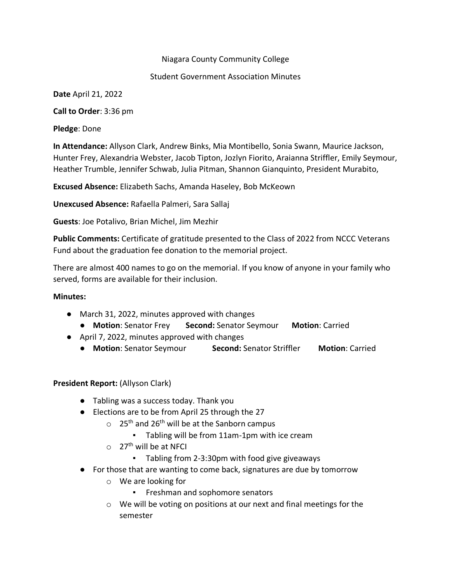#### Niagara County Community College

#### Student Government Association Minutes

**Date** April 21, 2022

**Call to Order**: 3:36 pm

**Pledge**: Done

**In Attendance:** Allyson Clark, Andrew Binks, Mia Montibello, Sonia Swann, Maurice Jackson, Hunter Frey, Alexandria Webster, Jacob Tipton, Jozlyn Fiorito, Araianna Striffler, Emily Seymour, Heather Trumble, Jennifer Schwab, Julia Pitman, Shannon Gianquinto, President Murabito,

**Excused Absence:** Elizabeth Sachs, Amanda Haseley, Bob McKeown

**Unexcused Absence:** Rafaella Palmeri, Sara Sallaj

**Guests**: Joe Potalivo, Brian Michel, Jim Mezhir

**Public Comments:** Certificate of gratitude presented to the Class of 2022 from NCCC Veterans Fund about the graduation fee donation to the memorial project.

There are almost 400 names to go on the memorial. If you know of anyone in your family who served, forms are available for their inclusion.

#### **Minutes:**

- March 31, 2022, minutes approved with changes
	- **Motion**: Senator Frey **Second:** Senator Seymour **Motion**: Carried
- April 7, 2022, minutes approved with changes
	- **Motion**: Senator Seymour **Second:** Senator Striffler **Motion**: Carried

# **President Report:** (Allyson Clark)

- Tabling was a success today. Thank you
- Elections are to be from April 25 through the 27
	- $\circ$  25<sup>th</sup> and 26<sup>th</sup> will be at the Sanborn campus
		- Tabling will be from 11am-1pm with ice cream
	- $\circ$  27<sup>th</sup> will be at NFCI
		- Tabling from 2-3:30pm with food give giveaways
- For those that are wanting to come back, signatures are due by tomorrow
	- o We are looking for
		- Freshman and sophomore senators
	- o We will be voting on positions at our next and final meetings for the semester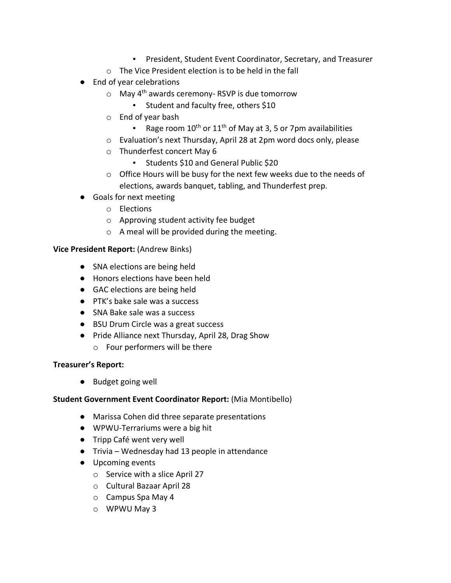- President, Student Event Coordinator, Secretary, and Treasurer
- o The Vice President election is to be held in the fall
- End of year celebrations
	- $\circ$  May 4<sup>th</sup> awards ceremony-RSVP is due tomorrow
		- Student and faculty free, others \$10
	- o End of year bash
		- **•** Rage room  $10^{th}$  or  $11^{th}$  of May at 3, 5 or 7pm availabilities
	- o Evaluation's next Thursday, April 28 at 2pm word docs only, please
	- o Thunderfest concert May 6
		- Students \$10 and General Public \$20
	- o Office Hours will be busy for the next few weeks due to the needs of elections, awards banquet, tabling, and Thunderfest prep.
- Goals for next meeting
	- o Elections
	- o Approving student activity fee budget
	- o A meal will be provided during the meeting.

**Vice President Report:** (Andrew Binks)

- SNA elections are being held
- Honors elections have been held
- GAC elections are being held
- PTK's bake sale was a success
- SNA Bake sale was a success
- BSU Drum Circle was a great success
- Pride Alliance next Thursday, April 28, Drag Show
	- o Four performers will be there

# **Treasurer's Report:**

● Budget going well

# **Student Government Event Coordinator Report:** (Mia Montibello)

- Marissa Cohen did three separate presentations
- WPWU-Terrariums were a big hit
- Tripp Café went very well
- Trivia Wednesday had 13 people in attendance
- Upcoming events
	- o Service with a slice April 27
	- o Cultural Bazaar April 28
	- o Campus Spa May 4
	- o WPWU May 3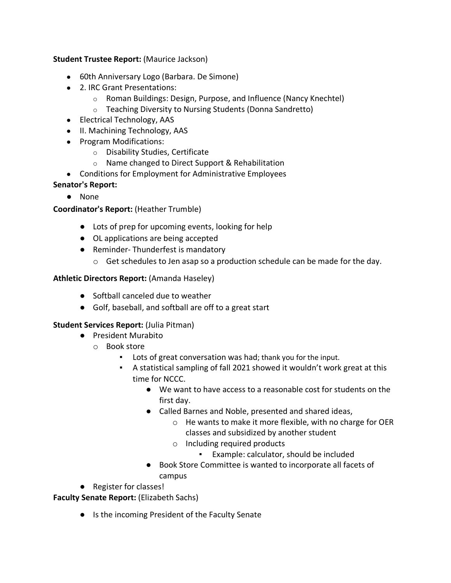# **Student Trustee Report:** (Maurice Jackson)

- 60th Anniversary Logo (Barbara. De Simone)
- 2. IRC Grant Presentations:
	- o Roman Buildings: Design, Purpose, and Influence (Nancy Knechtel)
	- o Teaching Diversity to Nursing Students (Donna Sandretto)
- Electrical Technology, AAS
- II. Machining Technology, AAS
- Program Modifications:
	- o Disability Studies, Certificate
	- o Name changed to Direct Support & Rehabilitation
- Conditions for Employment for Administrative Employees

# **Senator's Report:**

● None

# **Coordinator's Report:** (Heather Trumble)

- Lots of prep for upcoming events, looking for help
- OL applications are being accepted
- Reminder-Thunderfest is mandatory
	- o Get schedules to Jen asap so a production schedule can be made for the day.

# **Athletic Directors Report:** (Amanda Haseley)

- Softball canceled due to weather
- Golf, baseball, and softball are off to a great start

# **Student Services Report:** (Julia Pitman)

- President Murabito
	- o Book store
		- Lots of great conversation was had; thank you for the input.
		- A statistical sampling of fall 2021 showed it wouldn't work great at this time for NCCC.
			- We want to have access to a reasonable cost for students on the first day.
			- Called Barnes and Noble, presented and shared ideas,
				- o He wants to make it more flexible, with no charge for OER classes and subsidized by another student
				- o Including required products
					- Example: calculator, should be included
			- Book Store Committee is wanted to incorporate all facets of campus
- Register for classes!

**Faculty Senate Report:** (Elizabeth Sachs)

● Is the incoming President of the Faculty Senate